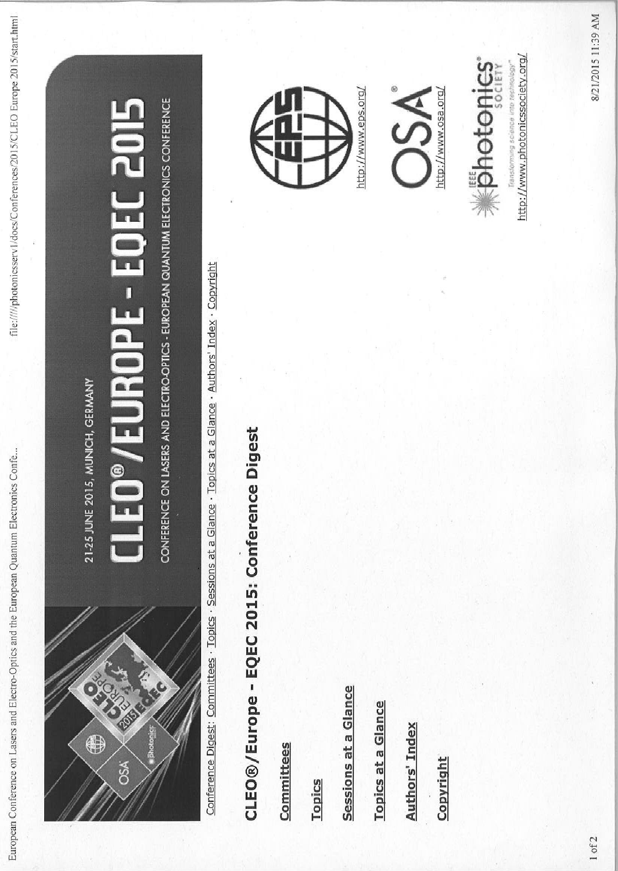

21-25 JUNE 2015, MUNICH, GERMANY

# EO®/EUROPE - EOEC 2015

CONFERENCE ON LASERS AND ELECTRO-OPTICS - EUROPEAN QUANTUM ELECTRONICS CONFERENCE

Conference Digest: Committees · Topics · Sessions at a Glance · Topics at a Glance · Authors' Index · Copyright

## CLEO®/Europe - EQEC 2015: Conference Digest

Committees

**Topics** 

Sessions at a Glance

**Topics at a Glance** 

**Authors' Index** 

Copyright







http://www.photonicssociety.org/ iststörming poenustore